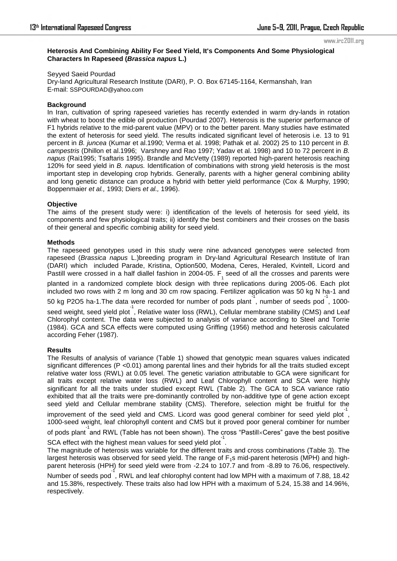www.irc2011.org

#### **Heterosis And Combining Ability For Seed Yield, It's Components And Some Physiological Characters In Rapeseed (***Brassica napus* **L.)**

Seyyed Saeid Pourdad Dry-land Agricultural Research Institute (DARI), P. O. Box 67145-1164, Kermanshah, Iran E-mail: SSPOURDAD@yahoo.com

# **Background**

In Iran, cultivation of spring rapeseed varieties has recently extended in warm dry-lands in rotation with wheat to boost the edible oil production (Pourdad 2007). Heterosis is the superior performance of F1 hybrids relative to the mid-parent value (MPV) or to the better parent. Many studies have estimated the extent of heterosis for seed yield. The results indicated significant level of heterosis i.e. 13 to 91 percent in *B. juncea* (Kumar et al.1990; Verma et al. 1998; Pathak et al. 2002) 25 to 110 percent in *B. campestris* (Dhillon et al.1996; Varshney and Rao 1997; Yadav et al. 1998) and 10 to 72 percent in *B. napus* (Rai1995; Tsaftaris 1995). Brandle and McVetty (1989) reported high-parent heterosis reaching 120% for seed yield in *B. napus.* Identification of combinations with strong yield heterosis is the most important step in developing crop hybrids. Generally, parents with a higher general combining ability and long genetic distance can produce a hybrid with better yield performance (Cox & Murphy, 1990; Boppenmaier *et al.,* 1993; Diers *et al.,* 1996).

# **Objective**

The aims of the present study were: i) identification of the levels of heterosis for seed yield, its components and few physiological traits; ii) identify the best combiners and their crosses on the basis of their general and specific combinig ability for seed yield.

# **Methods**

The rapeseed genotypes used in this study were nine advanced genotypes were selected from rapeseed (*Brassica napus* L.)breeding program in Dry-land Agricultural Research Institute of Iran (DARI) which included Parade, Kristina, Option500, Modena, Ceres, Heraled, Kvintell, Licord and Pastill were crossed in a half diallel fashion in 2004-05.  $F_1^{}$  seed of all the crosses and parents were planted in a randomized complete block design with three replications during 2005-06. Each plot included two rows with 2 m long and 30 cm row spacing. Fertilizer application was 50 kg N ha-1 and 50 kg P2O5 ha-1.The data were recorded for number of pods plant, number of seeds pod, 1000seed weight, seed yield plot<sup>1</sup>, Relative water loss (RWL), Cellular membrane stability (CMS) and Leaf Chlorophyl content. The data were subjected to analysis of variance according to Steel and Torrie (1984). GCA and SCA effects were computed using Griffing (1956) method and heterosis calculated according Feher (1987).

#### **Results**

The Results of analysis of variance (Table 1) showed that genotypic mean squares values indicated significant differences (P < 0.01) among parental lines and their hybrids for all the traits studied except relative water loss (RWL) at 0.05 level. The genetic variation attributable to GCA were significant for all traits except relative water loss (RWL) and Leaf Chlorophyll content and SCA were highly significant for all the traits under studied except RWL (Table 2). The GCA to SCA variance ratio exhibited that all the traits were pre-dominantly controlled by non-additive type of gene action except seed yield and Cellular membrane stability (CMS). Therefore, selection might be fruitful for the

improvement of the seed yield and CMS. Licord was good general combiner for seed yield plot<sup>1</sup>, 1000-seed weight, leaf chlorophyll content and CMS but it proved poor general combiner for number

of pods plant and RWL (Table has not been shown). The cross "Pastill×Ceres" gave the best positive

SCA effect with the highest mean values for seed yield plot .

The magnitude of heterosis was variable for the different traits and cross combinations (Table 3). The largest heterosis was observed for seed yield. The range of  $F_1$ s mid-parent heterosis (MPH) and highparent heterosis (HPH) for seed yield were from -2.24 to 107.7 and from -8.89 to 76.06, respectively.

.<br>Number of seeds pod , RWL and leaf chlorophyl content had low MPH with a maximum of 7.88, 18.42 and 15.38%, respectively. These traits also had low HPH with a maximum of 5.24, 15.38 and 14.96%, respectively.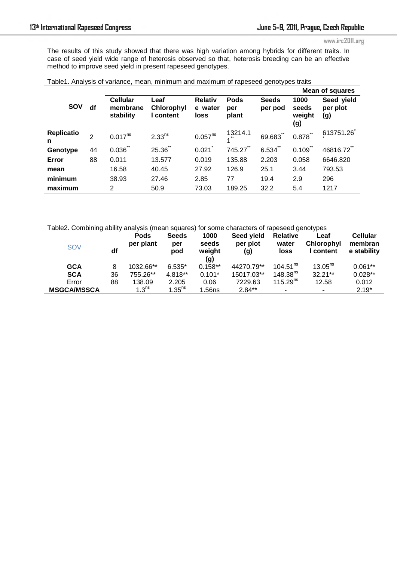#### www.irc2011.org

The results of this study showed that there was high variation among hybrids for different traits. In case of seed yield wide range of heterosis observed so that, heterosis breeding can be an effective method to improve seed yield in present rapeseed genotypes.

|                        |                |                                          |                                      |                                   |                             |                         | <b>Mean of squares</b>         |                               |  |
|------------------------|----------------|------------------------------------------|--------------------------------------|-----------------------------------|-----------------------------|-------------------------|--------------------------------|-------------------------------|--|
| <b>SOV</b>             | df             | <b>Cellular</b><br>membrane<br>stability | Leaf<br><b>Chlorophyl</b><br>content | <b>Relativ</b><br>e water<br>loss | <b>Pods</b><br>per<br>plant | <b>Seeds</b><br>per pod | 1000<br>seeds<br>weight<br>(g) | Seed yield<br>per plot<br>(g) |  |
| <b>Replicatio</b><br>n | $\overline{2}$ | $0.017^{ns}$                             | $2.33^{ns}$                          | 0.057 <sup>ns</sup>               | 13214.1<br>$***$            | 69.683                  | $0.878$ **                     | 613751.26                     |  |
| Genotype               | 44             | 0.036                                    | 25.36                                | 0.021                             | 745.27                      | 6.534                   | 0.109                          | 46816.72                      |  |
| Error                  | 88             | 0.011                                    | 13.577                               | 0.019                             | 135.88                      | 2.203                   | 0.058                          | 6646.820                      |  |
| mean                   |                | 16.58                                    | 40.45                                | 27.92                             | 126.9                       | 25.1                    | 3.44                           | 793.53                        |  |
| minimum                |                | 38.93                                    | 27.46                                | 2.85                              | 77                          | 19.4                    | 2.9                            | 296                           |  |
| maximum                |                | $\overline{2}$                           | 50.9                                 | 73.03                             | 189.25                      | 32.2                    | 5.4                            | 1217                          |  |
|                        |                |                                          |                                      |                                   |                             |                         |                                |                               |  |

|  | Table1. Analysis of variance, mean, minimum and maximum of rapeseed genotypes traits |  |  |  |  |  |
|--|--------------------------------------------------------------------------------------|--|--|--|--|--|
|  |                                                                                      |  |  |  |  |  |

Table2. Combining ability analysis (mean squares) for some characters of rapeseed genotypes

| <b>SOV</b>         | df | <b>Pods</b><br>per plant | <b>Seeds</b><br>per<br>pod | 1000<br>seeds<br>weight<br>(g) | Seed yield<br>per plot<br>(g) | <b>Relative</b><br>water<br>loss | ∟eaf<br>Chlorophyl<br>I content | <b>Cellular</b><br>membran<br>e stability |
|--------------------|----|--------------------------|----------------------------|--------------------------------|-------------------------------|----------------------------------|---------------------------------|-------------------------------------------|
| <b>GCA</b>         | 8  | 1032.66**                | $6.535*$                   | $0.158**$                      | 44270.79**                    | 104.51 <sup>ns</sup>             | $13.05^{ns}$                    | $0.061**$                                 |
| <b>SCA</b>         | 36 | 755.26**                 | 4.818**                    | $0.101*$                       | 15017.03**                    | 148.38 <sup>ns</sup>             | $32.21**$                       | $0.028**$                                 |
| Error              | 88 | 138.09                   | 2.205                      | 0.06                           | 7229.63                       | 115.29 <sup>ns</sup>             | 12.58                           | 0.012                                     |
| <b>MSGCA/MSSCA</b> |    | 1.3 <sup>ns</sup>        | $1.35^{ns}$                | ∣.56ns                         | $2.84**$                      | ۰                                | $\overline{\phantom{a}}$        | $2.19*$                                   |